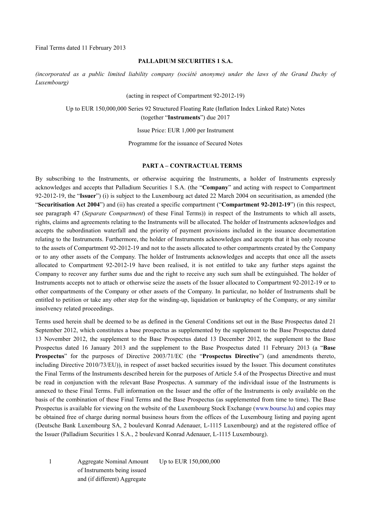Final Terms dated 11 February 2013

#### **PALLADIUM SECURITIES 1 S.A.**

*(incorporated as a public limited liability company (société anonyme) under the laws of the Grand Duchy of Luxembourg)* 

(acting in respect of Compartment 92-2012-19)

Up to EUR 150,000,000 Series 92 Structured Floating Rate (Inflation Index Linked Rate) Notes (together "**Instruments**") due 2017

Issue Price: EUR 1,000 per Instrument

Programme for the issuance of Secured Notes

#### **PART A – CONTRACTUAL TERMS**

By subscribing to the Instruments, or otherwise acquiring the Instruments, a holder of Instruments expressly acknowledges and accepts that Palladium Securities 1 S.A. (the "**Company**" and acting with respect to Compartment 92-2012-19, the "**Issuer**") (i) is subject to the Luxembourg act dated 22 March 2004 on securitisation, as amended (the "**Securitisation Act 2004**") and (ii) has created a specific compartment ("**Compartment 92-2012-19**") (in this respect, see paragraph 47 (*Separate Compartment*) of these Final Terms)) in respect of the Instruments to which all assets, rights, claims and agreements relating to the Instruments will be allocated. The holder of Instruments acknowledges and accepts the subordination waterfall and the priority of payment provisions included in the issuance documentation relating to the Instruments. Furthermore, the holder of Instruments acknowledges and accepts that it has only recourse to the assets of Compartment 92-2012-19 and not to the assets allocated to other compartments created by the Company or to any other assets of the Company. The holder of Instruments acknowledges and accepts that once all the assets allocated to Compartment 92-2012-19 have been realised, it is not entitled to take any further steps against the Company to recover any further sums due and the right to receive any such sum shall be extinguished. The holder of Instruments accepts not to attach or otherwise seize the assets of the Issuer allocated to Compartment 92-2012-19 or to other compartments of the Company or other assets of the Company. In particular, no holder of Instruments shall be entitled to petition or take any other step for the winding-up, liquidation or bankruptcy of the Company, or any similar insolvency related proceedings.

Terms used herein shall be deemed to be as defined in the General Conditions set out in the Base Prospectus dated 21 September 2012, which constitutes a base prospectus as supplemented by the supplement to the Base Prospectus dated 13 November 2012, the supplement to the Base Prospectus dated 13 December 2012, the supplement to the Base Prospectus dated 16 January 2013 and the supplement to the Base Prospectus dated 11 February 2013 (a "**Base Prospectus**" for the purposes of Directive 2003/71/EC (the "**Prospectus Directive**") (and amendments thereto, including Directive 2010/73/EU)), in respect of asset backed securities issued by the Issuer. This document constitutes the Final Terms of the Instruments described herein for the purposes of Article 5.4 of the Prospectus Directive and must be read in conjunction with the relevant Base Prospectus. A summary of the individual issue of the Instruments is annexed to these Final Terms. Full information on the Issuer and the offer of the Instruments is only available on the basis of the combination of these Final Terms and the Base Prospectus (as supplemented from time to time). The Base Prospectus is available for viewing on the website of the Luxembourg Stock Exchange (www.bourse.lu) and copies may be obtained free of charge during normal business hours from the offices of the Luxembourg listing and paying agent (Deutsche Bank Luxembourg SA, 2 boulevard Konrad Adenauer, L-1115 Luxembourg) and at the registered office of the Issuer (Palladium Securities 1 S.A., 2 boulevard Konrad Adenauer, L-1115 Luxembourg).

1 Aggregate Nominal Amount of Instruments being issued and (if different) Aggregate Up to EUR 150,000,000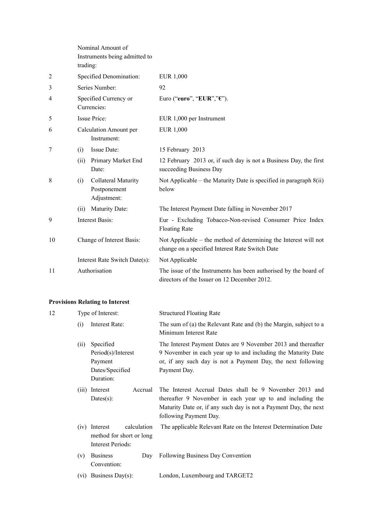|                | trading:                              | Nominal Amount of<br>Instruments being admitted to |                                                                                                                     |
|----------------|---------------------------------------|----------------------------------------------------|---------------------------------------------------------------------------------------------------------------------|
| $\overline{2}$ |                                       | Specified Denomination:                            | EUR 1,000                                                                                                           |
| 3              |                                       | Series Number:                                     | 92                                                                                                                  |
| 4              |                                       | Specified Currency or<br>Currencies:               | Euro ("euro", "EUR","E").                                                                                           |
| 5              |                                       | <b>Issue Price:</b>                                | EUR 1,000 per Instrument                                                                                            |
| 6              | Calculation Amount per<br>Instrument: |                                                    | <b>EUR 1,000</b>                                                                                                    |
| 7              | (i)                                   | Issue Date:                                        | 15 February 2013                                                                                                    |
|                | (ii)                                  | Primary Market End<br>Date:                        | 12 February 2013 or, if such day is not a Business Day, the first<br>succeeding Business Day                        |
| 8              | (i)                                   | Collateral Maturity<br>Postponement<br>Adjustment: | Not Applicable – the Maturity Date is specified in paragraph 8(ii)<br>below                                         |
|                | (ii)                                  | Maturity Date:                                     | The Interest Payment Date falling in November 2017                                                                  |
| 9              | <b>Interest Basis:</b>                |                                                    | Eur - Excluding Tobacco-Non-revised Consumer Price Index<br><b>Floating Rate</b>                                    |
| 10             |                                       | Change of Interest Basis:                          | Not Applicable – the method of determining the Interest will not<br>change on a specified Interest Rate Switch Date |
|                |                                       | Interest Rate Switch Date(s):                      | Not Applicable                                                                                                      |
| 11             |                                       | Authorisation                                      | The issue of the Instruments has been authorised by the board of<br>directors of the Issuer on 12 December 2012.    |

# **Provisions Relating to Interest**

| 12 | Type of Interest: |                                                                               | <b>Structured Floating Rate</b>                                                                                                                                                                                     |
|----|-------------------|-------------------------------------------------------------------------------|---------------------------------------------------------------------------------------------------------------------------------------------------------------------------------------------------------------------|
|    | (i)               | Interest Rate:                                                                | The sum of (a) the Relevant Rate and (b) the Margin, subject to a<br>Minimum Interest Rate                                                                                                                          |
|    | (ii)              | Specified<br>Period(s)/Interest<br>Payment<br>Dates/Specified<br>Duration:    | The Interest Payment Dates are 9 November 2013 and thereafter<br>9 November in each year up to and including the Maturity Date<br>or, if any such day is not a Payment Day, the next following<br>Payment Day.      |
|    |                   | (iii) Interest<br>Accrual<br>Dates $(s)$ :                                    | The Interest Accrual Dates shall be 9 November 2013 and<br>thereafter 9 November in each year up to and including the<br>Maturity Date or, if any such day is not a Payment Day, the next<br>following Payment Day. |
|    |                   | calculation<br>(iv) Interest<br>method for short or long<br>Interest Periods: | The applicable Relevant Rate on the Interest Determination Date                                                                                                                                                     |
|    | (v)               | <b>Business</b><br>Day<br>Convention:                                         | Following Business Day Convention                                                                                                                                                                                   |
|    | (v1)              | Business Day(s):                                                              | London, Luxembourg and TARGET2                                                                                                                                                                                      |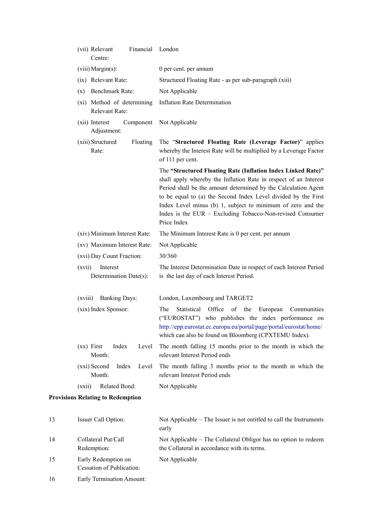|    | Financial London<br>(vii) Relevant<br>Centre: |                                                                                                                                                                                                                                                                                                                                                                                                                 |
|----|-----------------------------------------------|-----------------------------------------------------------------------------------------------------------------------------------------------------------------------------------------------------------------------------------------------------------------------------------------------------------------------------------------------------------------------------------------------------------------|
|    | (viii) Margin(s):                             | 0 per cent. per annum                                                                                                                                                                                                                                                                                                                                                                                           |
|    | (ix) Relevant Rate:                           | Structured Floating Rate - as per sub-paragraph (xiii)                                                                                                                                                                                                                                                                                                                                                          |
|    | Benchmark Rate:<br>(x)                        | Not Applicable                                                                                                                                                                                                                                                                                                                                                                                                  |
|    | (xi) Method of determining<br>Relevant Rate:  | <b>Inflation Rate Determination</b>                                                                                                                                                                                                                                                                                                                                                                             |
|    | (xii) Interest<br>Component<br>Adjustment:    | Not Applicable                                                                                                                                                                                                                                                                                                                                                                                                  |
|    | (xiii) Structured<br>Floating<br>Rate:        | The "Structured Floating Rate (Leverage Factor)" applies<br>whereby the Interest Rate will be multiplied by a Leverage Factor<br>of 111 per cent.                                                                                                                                                                                                                                                               |
|    |                                               | The "Structured Floating Rate (Inflation Index Linked Rate)"<br>shall apply whereby the Inflation Rate in respect of an Interest<br>Period shall be the amount determined by the Calculation Agent<br>to be equal to (a) the Second Index Level divided by the First<br>Index Level minus (b) 1, subject to minimum of zero and the<br>Index is the EUR - Excluding Tobacco-Non-revised Consumer<br>Price Index |
|    | (xiv) Minimum Interest Rate:                  | The Minimum Interest Rate is 0 per cent. per annum                                                                                                                                                                                                                                                                                                                                                              |
|    | (xv) Maximum Interest Rate:                   | Not Applicable                                                                                                                                                                                                                                                                                                                                                                                                  |
|    | (xvi) Day Count Fraction:                     | 30/360                                                                                                                                                                                                                                                                                                                                                                                                          |
|    | Interest<br>(xvii)<br>Determination Date(s):  | The Interest Determination Date in respect of each Interest Period<br>is the last day of each Interest Period.                                                                                                                                                                                                                                                                                                  |
|    | (xviii)<br><b>Banking Days:</b>               | London, Luxembourg and TARGET2                                                                                                                                                                                                                                                                                                                                                                                  |
|    | (xix) Index Sponsor:                          | Office of<br>the<br>The<br>Statistical<br>European<br>Communities<br>("EUROSTAT") who publishes the index performance on<br>http://epp.eurostat.ec.europa.eu/portal/page/portal/eurostat/home/<br>which can also be found on Bloomberg (CPXTEMU Index).                                                                                                                                                         |
|    | $(xx)$ First<br>Index<br>Level<br>Month:      | The month falling 15 months prior to the month in which the<br>relevant Interest Period ends                                                                                                                                                                                                                                                                                                                    |
|    | (xxi) Second<br>Index<br>Level<br>Month:      | The month falling 3 months prior to the month in which the<br>relevant Interest Period ends                                                                                                                                                                                                                                                                                                                     |
|    | (xxii)<br>Related Bond:                       | Not Applicable                                                                                                                                                                                                                                                                                                                                                                                                  |
|    | <b>Provisions Relating to Redemption</b>      |                                                                                                                                                                                                                                                                                                                                                                                                                 |
| 13 | Issuer Call Option:                           | Not Applicable – The Issuer is not entitled to call the Instruments<br>early                                                                                                                                                                                                                                                                                                                                    |
| 14 | Collateral Put/Call<br>Redemption:            | Not Applicable - The Collateral Obligor has no option to redeem<br>the Collateral in accordance with its terms.                                                                                                                                                                                                                                                                                                 |

- Not Applicable
- 16 Early Termination Amount:

Cessation of Publication:

15 Early Redemption on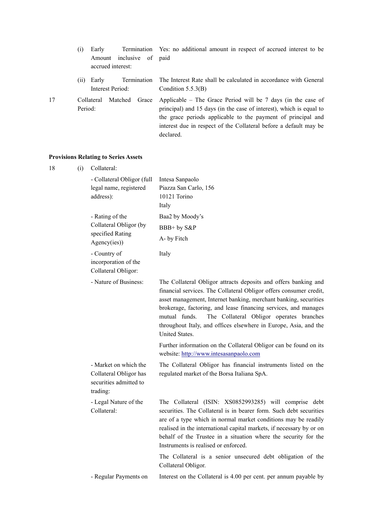- (i) Early Termination Amount inclusive of accrued interest: Yes: no additional amount in respect of accrued interest to be paid
- (ii) Early Termination Interest Period: The Interest Rate shall be calculated in accordance with General Condition 5.5.3(B)
- 17 Collateral Matched Grace Period:
- Applicable The Grace Period will be 7 days (in the case of principal) and 15 days (in the case of interest), which is equal to the grace periods applicable to the payment of principal and interest due in respect of the Collateral before a default may be declared.

#### **Provisions Relating to Series Assets**

| 18 | (i) | Collateral:                                                                           |                                                                                                                                                                                                                                                                                                                                                                                                                                 |
|----|-----|---------------------------------------------------------------------------------------|---------------------------------------------------------------------------------------------------------------------------------------------------------------------------------------------------------------------------------------------------------------------------------------------------------------------------------------------------------------------------------------------------------------------------------|
|    |     | - Collateral Obligor (full<br>legal name, registered<br>address):                     | Intesa Sanpaolo<br>Piazza San Carlo, 156<br>10121 Torino<br>Italy                                                                                                                                                                                                                                                                                                                                                               |
|    |     | - Rating of the<br>Collateral Obligor (by<br>specified Rating<br>Agency(ies))         | Baa2 by Moody's                                                                                                                                                                                                                                                                                                                                                                                                                 |
|    |     |                                                                                       | BBB+ by S&P                                                                                                                                                                                                                                                                                                                                                                                                                     |
|    |     |                                                                                       | A- by Fitch                                                                                                                                                                                                                                                                                                                                                                                                                     |
|    |     | - Country of<br>incorporation of the<br>Collateral Obligor:                           | Italy                                                                                                                                                                                                                                                                                                                                                                                                                           |
|    |     | - Nature of Business:                                                                 | The Collateral Obligor attracts deposits and offers banking and<br>financial services. The Collateral Obligor offers consumer credit,<br>asset management, Internet banking, merchant banking, securities<br>brokerage, factoring, and lease financing services, and manages<br>The Collateral Obligor operates branches<br>mutual funds.<br>throughout Italy, and offices elsewhere in Europe, Asia, and the<br>United States. |
|    |     |                                                                                       | Further information on the Collateral Obligor can be found on its<br>website: http://www.intesasanpaolo.com                                                                                                                                                                                                                                                                                                                     |
|    |     | - Market on which the<br>Collateral Obligor has<br>securities admitted to<br>trading: | The Collateral Obligor has financial instruments listed on the<br>regulated market of the Borsa Italiana SpA.                                                                                                                                                                                                                                                                                                                   |
|    |     | - Legal Nature of the<br>Collateral:                                                  | The Collateral (ISIN: XS0852993285) will comprise debt<br>securities. The Collateral is in bearer form. Such debt securities<br>are of a type which in normal market conditions may be readily<br>realised in the international capital markets, if necessary by or on<br>behalf of the Trustee in a situation where the security for the<br>Instruments is realised or enforced.                                               |
|    |     |                                                                                       | The Collateral is a senior unsecured debt obligation of the<br>Collateral Obligor.                                                                                                                                                                                                                                                                                                                                              |
|    |     | - Regular Payments on                                                                 | Interest on the Collateral is 4.00 per cent. per annum payable by                                                                                                                                                                                                                                                                                                                                                               |
|    |     |                                                                                       |                                                                                                                                                                                                                                                                                                                                                                                                                                 |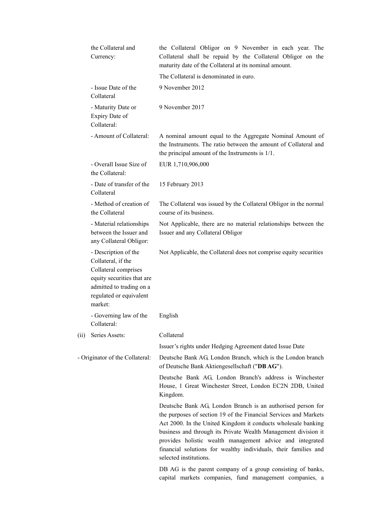|      | the Collateral and<br>Currency:                                                                                                                                    | the Collateral Obligor on 9 November in each year. The<br>Collateral shall be repaid by the Collateral Obligor on the<br>maturity date of the Collateral at its nominal amount.                                                                                                                                                                                                                                              |
|------|--------------------------------------------------------------------------------------------------------------------------------------------------------------------|------------------------------------------------------------------------------------------------------------------------------------------------------------------------------------------------------------------------------------------------------------------------------------------------------------------------------------------------------------------------------------------------------------------------------|
|      |                                                                                                                                                                    | The Collateral is denominated in euro.                                                                                                                                                                                                                                                                                                                                                                                       |
|      | - Issue Date of the<br>Collateral                                                                                                                                  | 9 November 2012                                                                                                                                                                                                                                                                                                                                                                                                              |
|      | - Maturity Date or<br>Expiry Date of<br>Collateral:                                                                                                                | 9 November 2017                                                                                                                                                                                                                                                                                                                                                                                                              |
|      | - Amount of Collateral:                                                                                                                                            | A nominal amount equal to the Aggregate Nominal Amount of<br>the Instruments. The ratio between the amount of Collateral and<br>the principal amount of the Instruments is $1/1$ .                                                                                                                                                                                                                                           |
|      | - Overall Issue Size of<br>the Collateral:                                                                                                                         | EUR 1,710,906,000                                                                                                                                                                                                                                                                                                                                                                                                            |
|      | - Date of transfer of the<br>Collateral                                                                                                                            | 15 February 2013                                                                                                                                                                                                                                                                                                                                                                                                             |
|      | - Method of creation of<br>the Collateral                                                                                                                          | The Collateral was issued by the Collateral Obligor in the normal<br>course of its business.                                                                                                                                                                                                                                                                                                                                 |
|      | - Material relationships<br>between the Issuer and<br>any Collateral Obligor:                                                                                      | Not Applicable, there are no material relationships between the<br>Issuer and any Collateral Obligor                                                                                                                                                                                                                                                                                                                         |
|      | - Description of the<br>Collateral, if the<br>Collateral comprises<br>equity securities that are<br>admitted to trading on a<br>regulated or equivalent<br>market: | Not Applicable, the Collateral does not comprise equity securities                                                                                                                                                                                                                                                                                                                                                           |
|      | - Governing law of the<br>Collateral:                                                                                                                              | English                                                                                                                                                                                                                                                                                                                                                                                                                      |
| (ii) | Series Assets:                                                                                                                                                     | Collateral                                                                                                                                                                                                                                                                                                                                                                                                                   |
|      |                                                                                                                                                                    | Issuer's rights under Hedging Agreement dated Issue Date                                                                                                                                                                                                                                                                                                                                                                     |
|      | - Originator of the Collateral:                                                                                                                                    | Deutsche Bank AG, London Branch, which is the London branch<br>of Deutsche Bank Aktiengesellschaft ("DB AG").                                                                                                                                                                                                                                                                                                                |
|      |                                                                                                                                                                    | Deutsche Bank AG, London Branch's address is Winchester<br>House, 1 Great Winchester Street, London EC2N 2DB, United<br>Kingdom.                                                                                                                                                                                                                                                                                             |
|      |                                                                                                                                                                    | Deutsche Bank AG, London Branch is an authorised person for<br>the purposes of section 19 of the Financial Services and Markets<br>Act 2000. In the United Kingdom it conducts wholesale banking<br>business and through its Private Wealth Management division it<br>provides holistic wealth management advice and integrated<br>financial solutions for wealthy individuals, their families and<br>selected institutions. |
|      |                                                                                                                                                                    | DB AG is the parent company of a group consisting of banks,<br>capital markets companies, fund management companies, a                                                                                                                                                                                                                                                                                                       |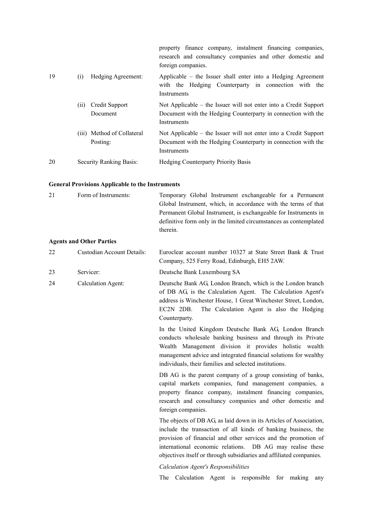|    |     |                                        | property finance company, instalment financing companies,<br>research and consultancy companies and other domestic and<br>foreign companies.     |
|----|-----|----------------------------------------|--------------------------------------------------------------------------------------------------------------------------------------------------|
| 19 | (i) | Hedging Agreement:                     | Applicable – the Issuer shall enter into a Hedging Agreement<br>with the Hedging Counterparty in connection with the<br><b>Instruments</b>       |
|    | (i) | Credit Support<br>Document             | Not Applicable – the Issuer will not enter into a Credit Support<br>Document with the Hedging Counterparty in connection with the<br>Instruments |
|    |     | (iii) Method of Collateral<br>Posting: | Not Applicable – the Issuer will not enter into a Credit Support<br>Document with the Hedging Counterparty in connection with the<br>Instruments |
| 20 |     | Security Ranking Basis:                | <b>Hedging Counterparty Priority Basis</b>                                                                                                       |

# **General Provisions Applicable to the Instruments**

|    | <b>General Provisions Applicable to the Instruments</b> |                                                                                                                                                                                                                                                                                                                                           |
|----|---------------------------------------------------------|-------------------------------------------------------------------------------------------------------------------------------------------------------------------------------------------------------------------------------------------------------------------------------------------------------------------------------------------|
| 21 | Form of Instruments:                                    | Temporary Global Instrument exchangeable for a Permanent<br>Global Instrument, which, in accordance with the terms of that<br>Permanent Global Instrument, is exchangeable for Instruments in<br>definitive form only in the limited circumstances as contemplated<br>therein.                                                            |
|    | <b>Agents and Other Parties</b>                         |                                                                                                                                                                                                                                                                                                                                           |
| 22 | <b>Custodian Account Details:</b>                       | Euroclear account number 10327 at State Street Bank & Trust<br>Company, 525 Ferry Road, Edinburgh, EH5 2AW.                                                                                                                                                                                                                               |
| 23 | Servicer:                                               | Deutsche Bank Luxembourg SA                                                                                                                                                                                                                                                                                                               |
| 24 | Calculation Agent:                                      | Deutsche Bank AG, London Branch, which is the London branch<br>of DB AG, is the Calculation Agent. The Calculation Agent's<br>address is Winchester House, 1 Great Winchester Street, London,<br>The Calculation Agent is also the Hedging<br>EC2N 2DB.<br>Counterparty.                                                                  |
|    |                                                         | In the United Kingdom Deutsche Bank AG, London Branch<br>conducts wholesale banking business and through its Private<br>Wealth Management division it provides holistic wealth<br>management advice and integrated financial solutions for wealthy<br>individuals, their families and selected institutions.                              |
|    |                                                         | DB AG is the parent company of a group consisting of banks,<br>capital markets companies, fund management companies, a<br>property finance company, instalment financing companies,<br>research and consultancy companies and other domestic and<br>foreign companies.                                                                    |
|    |                                                         | The objects of DB AG, as laid down in its Articles of Association,<br>include the transaction of all kinds of banking business, the<br>provision of financial and other services and the promotion of<br>international economic relations. DB AG may realise these<br>objectives itself or through subsidiaries and affiliated companies. |
|    |                                                         | <b>Calculation Agent's Responsibilities</b>                                                                                                                                                                                                                                                                                               |
|    |                                                         | The Calculation Agent is responsible<br>for making<br>any                                                                                                                                                                                                                                                                                 |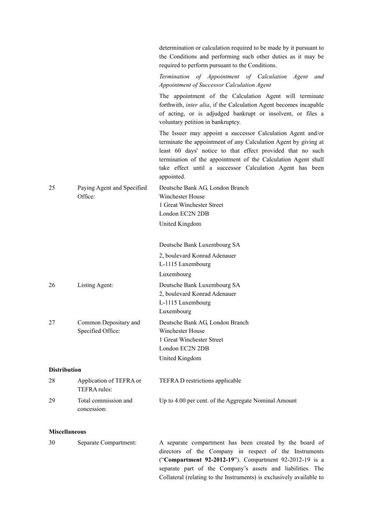|                      |                                         | determination or calculation required to be made by it pursuant to<br>the Conditions and performing such other duties as it may be<br>required to perform pursuant to the Conditions.                                                                                                                                                   |
|----------------------|-----------------------------------------|-----------------------------------------------------------------------------------------------------------------------------------------------------------------------------------------------------------------------------------------------------------------------------------------------------------------------------------------|
|                      |                                         | Termination of Appointment of Calculation Agent<br>and<br>Appointment of Successor Calculation Agent                                                                                                                                                                                                                                    |
|                      |                                         | The appointment of the Calculation Agent will terminate<br>forthwith, <i>inter alia</i> , if the Calculation Agent becomes incapable<br>of acting, or is adjudged bankrupt or insolvent, or files a<br>voluntary petition in bankruptcy.                                                                                                |
|                      |                                         | The Issuer may appoint a successor Calculation Agent and/or<br>terminate the appointment of any Calculation Agent by giving at<br>least 60 days' notice to that effect provided that no such<br>termination of the appointment of the Calculation Agent shall<br>take effect until a successor Calculation Agent has been<br>appointed. |
| 25                   | Paying Agent and Specified<br>Office:   | Deutsche Bank AG, London Branch<br>Winchester House<br>1 Great Winchester Street                                                                                                                                                                                                                                                        |
|                      |                                         | London EC2N 2DB                                                                                                                                                                                                                                                                                                                         |
|                      |                                         | United Kingdom                                                                                                                                                                                                                                                                                                                          |
|                      |                                         | Deutsche Bank Luxembourg SA                                                                                                                                                                                                                                                                                                             |
|                      |                                         | 2, boulevard Konrad Adenauer                                                                                                                                                                                                                                                                                                            |
|                      |                                         | L-1115 Luxembourg                                                                                                                                                                                                                                                                                                                       |
|                      |                                         | Luxembourg                                                                                                                                                                                                                                                                                                                              |
| 26                   | Listing Agent:                          | Deutsche Bank Luxembourg SA<br>2, boulevard Konrad Adenauer                                                                                                                                                                                                                                                                             |
|                      |                                         | L-1115 Luxembourg                                                                                                                                                                                                                                                                                                                       |
|                      |                                         | Luxembourg                                                                                                                                                                                                                                                                                                                              |
| 27                   | Common Depositary and                   | Deutsche Bank AG, London Branch                                                                                                                                                                                                                                                                                                         |
|                      | Specified Office:                       | Winchester House<br>1 Great Winchester Street                                                                                                                                                                                                                                                                                           |
|                      |                                         | London EC2N 2DB                                                                                                                                                                                                                                                                                                                         |
|                      |                                         | United Kingdom                                                                                                                                                                                                                                                                                                                          |
| <b>Distribution</b>  |                                         |                                                                                                                                                                                                                                                                                                                                         |
| 28                   | Application of TEFRA or<br>TEFRA rules: | TEFRA D restrictions applicable                                                                                                                                                                                                                                                                                                         |
| 29                   | Total commission and                    | Up to 4.00 per cent. of the Aggregate Nominal Amount                                                                                                                                                                                                                                                                                    |
|                      | concession:                             |                                                                                                                                                                                                                                                                                                                                         |
| <b>Miscellaneous</b> |                                         |                                                                                                                                                                                                                                                                                                                                         |
| 30                   | Separate Compartment:                   | A separate compartment has been created by the board of                                                                                                                                                                                                                                                                                 |
|                      |                                         | directors of the Company in respect of the Instruments<br>("Compartment 92-2012-19"). Compartment 92-2012-19 is a<br>separate part of the Company's assets and liabilities. The<br>Collateral (relating to the Instruments) is exclusively available to                                                                                 |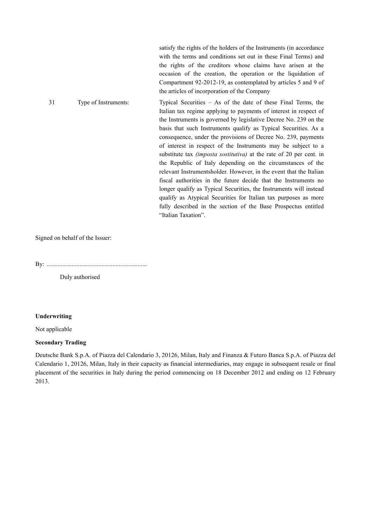|    |                      | satisfy the rights of the holders of the Instruments (in accordance<br>with the terms and conditions set out in these Final Terms) and<br>the rights of the creditors whose claims have arisen at the<br>occasion of the creation, the operation or the liquidation of<br>Compartment 92-2012-19, as contemplated by articles 5 and 9 of<br>the articles of incorporation of the Company                                                                                                                                                                                                                                                                                                                                                                                                                                                                                                                                              |
|----|----------------------|---------------------------------------------------------------------------------------------------------------------------------------------------------------------------------------------------------------------------------------------------------------------------------------------------------------------------------------------------------------------------------------------------------------------------------------------------------------------------------------------------------------------------------------------------------------------------------------------------------------------------------------------------------------------------------------------------------------------------------------------------------------------------------------------------------------------------------------------------------------------------------------------------------------------------------------|
| 31 | Type of Instruments: | Typical Securities $-$ As of the date of these Final Terms, the<br>Italian tax regime applying to payments of interest in respect of<br>the Instruments is governed by legislative Decree No. 239 on the<br>basis that such Instruments qualify as Typical Securities. As a<br>consequence, under the provisions of Decree No. 239, payments<br>of interest in respect of the Instruments may be subject to a<br>substitute tax <i>(imposta sostitutiva)</i> at the rate of 20 per cent. in<br>the Republic of Italy depending on the circumstances of the<br>relevant Instrumentsholder. However, in the event that the Italian<br>fiscal authorities in the future decide that the Instruments no<br>longer qualify as Typical Securities, the Instruments will instead<br>qualify as Atypical Securities for Italian tax purposes as more<br>fully described in the section of the Base Prospectus entitled<br>"Italian Taxation". |

Signed on behalf of the Issuer:

By: ................................................................

Duly authorised

### **Underwriting**

Not applicable

## **Secondary Trading**

Deutsche Bank S.p.A. of Piazza del Calendario 3, 20126, Milan, Italy and Finanza & Futuro Banca S.p.A. of Piazza del Calendario 1, 20126, Milan, Italy in their capacity as financial intermediaries, may engage in subsequent resale or final placement of the securities in Italy during the period commencing on 18 December 2012 and ending on 12 February 2013.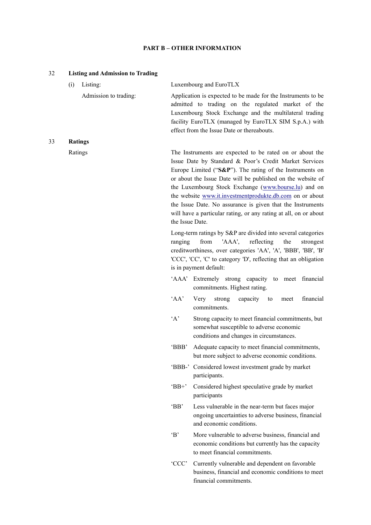## **PART B – OTHER INFORMATION**

| 32 | <b>Listing and Admission to Trading</b> |                 |                                                                                                                                                                                                                                                                                                                                                                                                                                                                                                          |
|----|-----------------------------------------|-----------------|----------------------------------------------------------------------------------------------------------------------------------------------------------------------------------------------------------------------------------------------------------------------------------------------------------------------------------------------------------------------------------------------------------------------------------------------------------------------------------------------------------|
|    | (i)<br>Listing:                         |                 | Luxembourg and EuroTLX                                                                                                                                                                                                                                                                                                                                                                                                                                                                                   |
|    | Admission to trading:                   |                 | Application is expected to be made for the Instruments to be<br>admitted to trading on the regulated market of the<br>Luxembourg Stock Exchange and the multilateral trading<br>facility EuroTLX (managed by EuroTLX SIM S.p.A.) with<br>effect from the Issue Date or thereabouts.                                                                                                                                                                                                                      |
| 33 | <b>Ratings</b>                          |                 |                                                                                                                                                                                                                                                                                                                                                                                                                                                                                                          |
|    | Ratings                                 | the Issue Date. | The Instruments are expected to be rated on or about the<br>Issue Date by Standard & Poor's Credit Market Services<br>Europe Limited (" $S\&P$ "). The rating of the Instruments on<br>or about the Issue Date will be published on the website of<br>the Luxembourg Stock Exchange (www.bourse.lu) and on<br>the website www.it.investmentprodukte.db.com on or about<br>the Issue Date. No assurance is given that the Instruments<br>will have a particular rating, or any rating at all, on or about |
|    |                                         | ranging         | Long-term ratings by S&P are divided into several categories<br>'AAA',<br>reflecting<br>from<br>the<br>strongest<br>creditworthiness, over categories 'AA', 'A', 'BBB', 'BB', 'B'<br>'CCC', 'CC', 'C' to category 'D', reflecting that an obligation<br>is in payment default:                                                                                                                                                                                                                           |
|    |                                         |                 | 'AAA' Extremely strong capacity to meet financial<br>commitments. Highest rating.                                                                                                                                                                                                                                                                                                                                                                                                                        |
|    |                                         | 'AA'            | financial<br>strong<br>Very<br>capacity<br>meet<br>to<br>commitments.                                                                                                                                                                                                                                                                                                                                                                                                                                    |
|    |                                         | $\lq A$         | Strong capacity to meet financial commitments, but<br>somewhat susceptible to adverse economic<br>conditions and changes in circumstances.                                                                                                                                                                                                                                                                                                                                                               |
|    |                                         | 'BBB'           | Adequate capacity to meet financial commitments.<br>but more subject to adverse economic conditions.                                                                                                                                                                                                                                                                                                                                                                                                     |
|    |                                         |                 | 'BBB-' Considered lowest investment grade by market<br>participants.                                                                                                                                                                                                                                                                                                                                                                                                                                     |
|    |                                         | $B^+$           | Considered highest speculative grade by market<br>participants                                                                                                                                                                                                                                                                                                                                                                                                                                           |
|    |                                         | 'BB'            | Less vulnerable in the near-term but faces major<br>ongoing uncertainties to adverse business, financial<br>and economic conditions.                                                                                                                                                                                                                                                                                                                                                                     |
|    |                                         | B               | More vulnerable to adverse business, financial and<br>economic conditions but currently has the capacity<br>to meet financial commitments.                                                                                                                                                                                                                                                                                                                                                               |
|    |                                         | 'CCC'           | Currently vulnerable and dependent on favorable<br>business, financial and economic conditions to meet<br>financial commitments.                                                                                                                                                                                                                                                                                                                                                                         |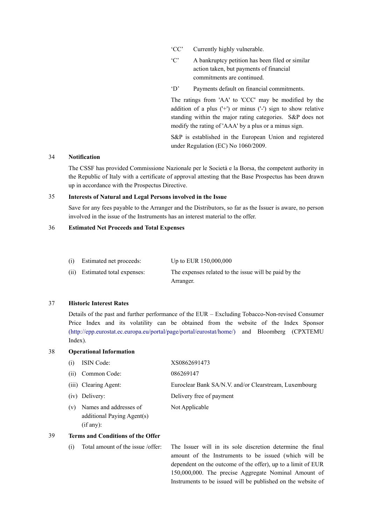'CC' Currently highly vulnerable.

- 'C' A bankruptcy petition has been filed or similar action taken, but payments of financial commitments are continued.
- 'D' Payments default on financial commitments.

The ratings from 'AA' to 'CCC' may be modified by the addition of a plus  $(')$  or minus  $(')$  sign to show relative standing within the major rating categories. S&P does not modify the rating of 'AAA' by a plus or a minus sign.

S&P is established in the European Union and registered under Regulation (EC) No 1060/2009.

## 34 **Notification**

The CSSF has provided Commissione Nazionale per le Società e la Borsa, the competent authority in the Republic of Italy with a certificate of approval attesting that the Base Prospectus has been drawn up in accordance with the Prospectus Directive.

#### 35 **Interests of Natural and Legal Persons involved in the Issue**

Save for any fees payable to the Arranger and the Distributors, so far as the Issuer is aware, no person involved in the issue of the Instruments has an interest material to the offer.

#### 36 **Estimated Net Proceeds and Total Expenses**

| (i) | Estimated net proceeds: | Up to EUR 150,000,000 |  |
|-----|-------------------------|-----------------------|--|
|-----|-------------------------|-----------------------|--|

(ii) Estimated total expenses: The expenses related to the issue will be paid by the Arranger.

### 37 **Historic Interest Rates**

Details of the past and further performance of the EUR – Excluding Tobacco-Non-revised Consumer Price Index and its volatility can be obtained from the website of the Index Sponsor [\(http://epp.eurostat.ec.europa.eu/portal/page/portal/eurostat/home/\)](http://epp.eurostat.ec.europa.eu/portal/page/portal/eurostat/home/) and Bloomberg (CPXTEMU Index).

## 38 **Operational Information**

| (i) | <b>ISIN</b> Code:                                                 | XS0862691473                                          |
|-----|-------------------------------------------------------------------|-------------------------------------------------------|
| (i) | Common Code:                                                      | 086269147                                             |
|     | (iii) Clearing Agent:                                             | Euroclear Bank SA/N.V. and/or Clearstream, Luxembourg |
|     | (iv) Delivery:                                                    | Delivery free of payment                              |
| (v) | Names and addresses of<br>additional Paying Agent(s)<br>(if any): | Not Applicable                                        |

#### 39 **Terms and Conditions of the Offer**

(i) Total amount of the issue /offer: The Issuer will in its sole discretion determine the final amount of the Instruments to be issued (which will be dependent on the outcome of the offer), up to a limit of EUR 150,000,000. The precise Aggregate Nominal Amount of Instruments to be issued will be published on the website of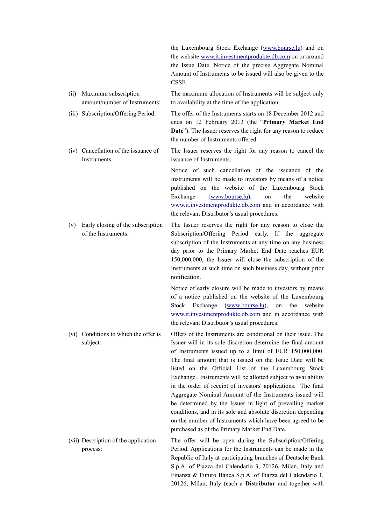|      |                                                          | the Luxembourg Stock Exchange (www.bourse.lu) and on<br>the website www.it.investmentprodukte.db.com on or around<br>the Issue Date. Notice of the precise Aggregate Nominal<br>Amount of Instruments to be issued will also be given to the<br>CSSF.                                                                                                                                                                                                                                                                                                                                                                                                                                                                                                  |
|------|----------------------------------------------------------|--------------------------------------------------------------------------------------------------------------------------------------------------------------------------------------------------------------------------------------------------------------------------------------------------------------------------------------------------------------------------------------------------------------------------------------------------------------------------------------------------------------------------------------------------------------------------------------------------------------------------------------------------------------------------------------------------------------------------------------------------------|
| (ii) | Maximum subscription<br>amount/number of Instruments:    | The maximum allocation of Instruments will be subject only<br>to availability at the time of the application.                                                                                                                                                                                                                                                                                                                                                                                                                                                                                                                                                                                                                                          |
|      | (iii) Subscription/Offering Period:                      | The offer of the Instruments starts on 18 December 2012 and<br>ends on 12 February 2013 (the "Primary Market End<br><b>Date</b> "). The Issuer reserves the right for any reason to reduce<br>the number of Instruments offered.                                                                                                                                                                                                                                                                                                                                                                                                                                                                                                                       |
|      | (iv) Cancellation of the issuance of<br>Instruments:     | The Issuer reserves the right for any reason to cancel the<br>issuance of Instruments.                                                                                                                                                                                                                                                                                                                                                                                                                                                                                                                                                                                                                                                                 |
|      |                                                          | Notice of such cancellation of the issuance of the<br>Instruments will be made to investors by means of a notice<br>published on the website of the Luxembourg Stock<br>the<br>Exchange<br>(www.bourse.lu),<br>website<br>on<br>www.it.investmentprodukte.db.com and in accordance with<br>the relevant Distributor's usual procedures.                                                                                                                                                                                                                                                                                                                                                                                                                |
| (v)  | Early closing of the subscription<br>of the Instruments: | The Issuer reserves the right for any reason to close the<br>Subscription/Offering Period early. If the<br>aggregate<br>subscription of the Instruments at any time on any business<br>day prior to the Primary Market End Date reaches EUR<br>150,000,000, the Issuer will close the subscription of the<br>Instruments at such time on such business day, without prior<br>notification.                                                                                                                                                                                                                                                                                                                                                             |
|      |                                                          | Notice of early closure will be made to investors by means<br>of a notice published on the website of the Luxembourg<br>Exchange<br>(www.bourse.lu),<br>Stock<br>the<br>website<br>on<br>www.it.investmentprodukte.db.com and in accordance with<br>the relevant Distributor's usual procedures.                                                                                                                                                                                                                                                                                                                                                                                                                                                       |
| (v1) | Conditions to which the offer is<br>subject:             | Offers of the Instruments are conditional on their issue. The<br>Issuer will in its sole discretion determine the final amount<br>of Instruments issued up to a limit of EUR 150,000,000.<br>The final amount that is issued on the Issue Date will be<br>listed on the Official List of the Luxembourg Stock<br>Exchange. Instruments will be allotted subject to availability<br>in the order of receipt of investors' applications. The final<br>Aggregate Nominal Amount of the Instruments issued will<br>be determined by the Issuer in light of prevailing market<br>conditions, and in its sole and absolute discretion depending<br>on the number of Instruments which have been agreed to be<br>purchased as of the Primary Market End Date. |
|      | (vii) Description of the application<br>process:         | The offer will be open during the Subscription/Offering<br>Period. Applications for the Instruments can be made in the<br>Republic of Italy at participating branches of Deutsche Bank<br>S.p.A. of Piazza del Calendario 3, 20126, Milan, Italy and<br>Finanza & Futuro Banca S.p.A. of Piazza del Calendario 1,                                                                                                                                                                                                                                                                                                                                                                                                                                      |

20126, Milan, Italy (each a **Distributor** and together with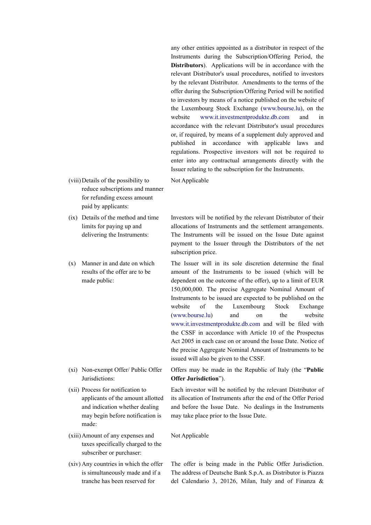any other entities appointed as a distributor in respect of the Instruments during the Subscription/Offering Period, the **Distributors**). Applications will be in accordance with the relevant Distributor's usual procedures, notified to investors by the relevant Distributor. Amendments to the terms of the offer during the Subscription/Offering Period will be notified to investors by means of a notice published on the website of the Luxembourg Stock Exchange ([www.bourse.lu\)](http://www.bourse.lu/), on the website [www.it.investmentprodukte.db.com](http://www.it.investmentprodukte.db.com/) and in accordance with the relevant Distributor's usual procedures or, if required, by means of a supplement duly approved and published in accordance with applicable laws and regulations. Prospective investors will not be required to enter into any contractual arrangements directly with the Issuer relating to the subscription for the Instruments.

Not Applicable

- (viii)Details of the possibility to reduce subscriptions and manner for refunding excess amount paid by applicants:
- (ix) Details of the method and time limits for paying up and delivering the Instruments:
- (x) Manner in and date on which results of the offer are to be made public:

- (xi) Non-exempt Offer/ Public Offer Jurisdictions:
- (xii) Process for notification to applicants of the amount allotted and indication whether dealing may begin before notification is made:
- (xiii)Amount of any expenses and taxes specifically charged to the subscriber or purchaser:
- (xiv) Any countries in which the offer is simultaneously made and if a tranche has been reserved for

Investors will be notified by the relevant Distributor of their allocations of Instruments and the settlement arrangements. The Instruments will be issued on the Issue Date against payment to the Issuer through the Distributors of the net subscription price.

The Issuer will in its sole discretion determine the final amount of the Instruments to be issued (which will be dependent on the outcome of the offer), up to a limit of EUR 150,000,000. The precise Aggregate Nominal Amount of Instruments to be issued are expected to be published on the website of the Luxembourg Stock Exchange ([www.bourse.lu](http://www.bourse.lu/)) and on the website [www.it.investmentprodukte.db.com](http://www.it.investmentprodukte.db.com/) and will be filed with the CSSF in accordance with Article 10 of the Prospectus Act 2005 in each case on or around the Issue Date. Notice of the precise Aggregate Nominal Amount of Instruments to be issued will also be given to the CSSF.

Offers may be made in the Republic of Italy (the "**Public Offer Jurisdiction**").

Each investor will be notified by the relevant Distributor of its allocation of Instruments after the end of the Offer Period and before the Issue Date. No dealings in the Instruments may take place prior to the Issue Date.

Not Applicable

The offer is being made in the Public Offer Jurisdiction. The address of Deutsche Bank S.p.A. as Distributor is Piazza del Calendario 3, 20126, Milan, Italy and of Finanza &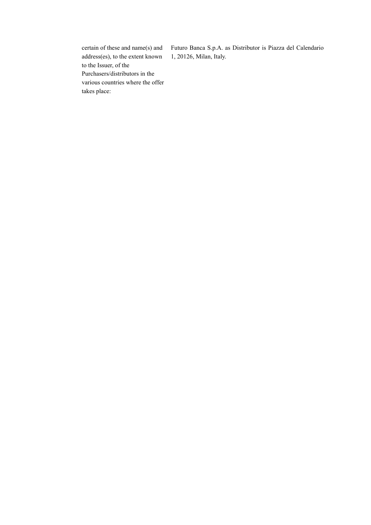certain of these and name(s) and address(es), to the extent known to the Issuer, of the Purchasers/distributors in the various countries where the offer takes place:

Futuro Banca S.p.A. as Distributor is Piazza del Calendario 1, 20126, Milan, Italy.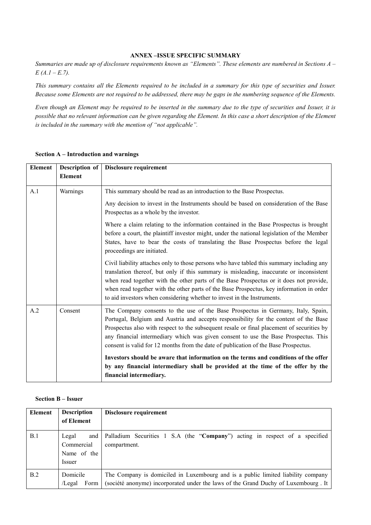#### **ANNEX –ISSUE SPECIFIC SUMMARY**

*Summaries are made up of disclosure requirements known as "Elements". These elements are numbered in Sections A – E (A.1 – E.7).*

*This summary contains all the Elements required to be included in a summary for this type of securities and Issuer. Because some Elements are not required to be addressed, there may be gaps in the numbering sequence of the Elements.*

*Even though an Element may be required to be inserted in the summary due to the type of securities and Issuer, it is possible that no relevant information can be given regarding the Element. In this case a short description of the Element is included in the summary with the mention of "not applicable".*

| <b>Element</b> | Description of | Disclosure requirement                                                                                                                                                                                                                                                                                                                                                                                                                                |
|----------------|----------------|-------------------------------------------------------------------------------------------------------------------------------------------------------------------------------------------------------------------------------------------------------------------------------------------------------------------------------------------------------------------------------------------------------------------------------------------------------|
|                | <b>Element</b> |                                                                                                                                                                                                                                                                                                                                                                                                                                                       |
| A.1            | Warnings       | This summary should be read as an introduction to the Base Prospectus.                                                                                                                                                                                                                                                                                                                                                                                |
|                |                | Any decision to invest in the Instruments should be based on consideration of the Base<br>Prospectus as a whole by the investor.                                                                                                                                                                                                                                                                                                                      |
|                |                | Where a claim relating to the information contained in the Base Prospectus is brought<br>before a court, the plaintiff investor might, under the national legislation of the Member<br>States, have to bear the costs of translating the Base Prospectus before the legal<br>proceedings are initiated.                                                                                                                                               |
|                |                | Civil liability attaches only to those persons who have tabled this summary including any<br>translation thereof, but only if this summary is misleading, inaccurate or inconsistent<br>when read together with the other parts of the Base Prospectus or it does not provide,<br>when read together with the other parts of the Base Prospectus, key information in order<br>to aid investors when considering whether to invest in the Instruments. |
| A.2            | Consent        | The Company consents to the use of the Base Prospectus in Germany, Italy, Spain,<br>Portugal, Belgium and Austria and accepts responsibility for the content of the Base<br>Prospectus also with respect to the subsequent resale or final placement of securities by<br>any financial intermediary which was given consent to use the Base Prospectus. This<br>consent is valid for 12 months from the date of publication of the Base Prospectus.   |
|                |                | Investors should be aware that information on the terms and conditions of the offer<br>by any financial intermediary shall be provided at the time of the offer by the<br>financial intermediary.                                                                                                                                                                                                                                                     |

#### **Section A – Introduction and warnings**

## **Section B – Issuer**

| Element | <b>Description</b>                                  | Disclosure requirement                                                                                                                                                 |  |
|---------|-----------------------------------------------------|------------------------------------------------------------------------------------------------------------------------------------------------------------------------|--|
|         | of Element                                          |                                                                                                                                                                        |  |
| B.1     | Legal<br>and<br>Commercial<br>Name of the<br>Issuer | Palladium Securities 1 S.A (the "Company") acting in respect of a specified<br>compartment.                                                                            |  |
| B.2     | Domicile<br>Form<br>/Legal                          | The Company is domiciled in Luxembourg and is a public limited liability company<br>(société anonyme) incorporated under the laws of the Grand Duchy of Luxembourg. It |  |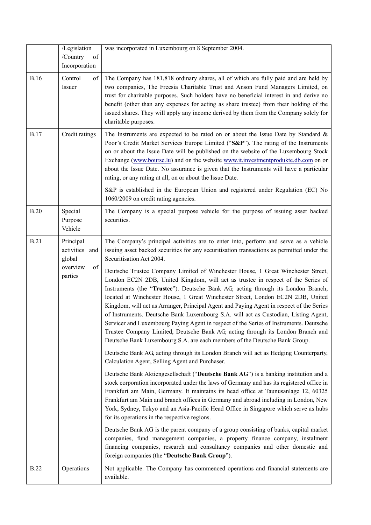|             | /Legislation<br>/Country<br>of                                     | was incorporated in Luxembourg on 8 September 2004.                                                                                                                                                                                                                                                                                                                                                                                                                                                                                                                                                                                                                                                                                                                                                                                                                                                                                                                                                                                                                                                                                                                                                                                                                                                                                                                                                                                                                                                                                                                                                                                                                                                                                                                                                                                                                                                                                                                            |
|-------------|--------------------------------------------------------------------|--------------------------------------------------------------------------------------------------------------------------------------------------------------------------------------------------------------------------------------------------------------------------------------------------------------------------------------------------------------------------------------------------------------------------------------------------------------------------------------------------------------------------------------------------------------------------------------------------------------------------------------------------------------------------------------------------------------------------------------------------------------------------------------------------------------------------------------------------------------------------------------------------------------------------------------------------------------------------------------------------------------------------------------------------------------------------------------------------------------------------------------------------------------------------------------------------------------------------------------------------------------------------------------------------------------------------------------------------------------------------------------------------------------------------------------------------------------------------------------------------------------------------------------------------------------------------------------------------------------------------------------------------------------------------------------------------------------------------------------------------------------------------------------------------------------------------------------------------------------------------------------------------------------------------------------------------------------------------------|
|             | Incorporation                                                      |                                                                                                                                                                                                                                                                                                                                                                                                                                                                                                                                                                                                                                                                                                                                                                                                                                                                                                                                                                                                                                                                                                                                                                                                                                                                                                                                                                                                                                                                                                                                                                                                                                                                                                                                                                                                                                                                                                                                                                                |
| <b>B.16</b> | Control<br>of<br>Issuer                                            | The Company has 181,818 ordinary shares, all of which are fully paid and are held by<br>two companies, The Freesia Charitable Trust and Anson Fund Managers Limited, on<br>trust for charitable purposes. Such holders have no beneficial interest in and derive no<br>benefit (other than any expenses for acting as share trustee) from their holding of the<br>issued shares. They will apply any income derived by them from the Company solely for<br>charitable purposes.                                                                                                                                                                                                                                                                                                                                                                                                                                                                                                                                                                                                                                                                                                                                                                                                                                                                                                                                                                                                                                                                                                                                                                                                                                                                                                                                                                                                                                                                                                |
| <b>B.17</b> | Credit ratings                                                     | The Instruments are expected to be rated on or about the Issue Date by Standard $\&$<br>Poor's Credit Market Services Europe Limited ("S&P"). The rating of the Instruments<br>on or about the Issue Date will be published on the website of the Luxembourg Stock<br>Exchange (www.bourse.lu) and on the website www.it.investmentprodukte.db.com on or<br>about the Issue Date. No assurance is given that the Instruments will have a particular<br>rating, or any rating at all, on or about the Issue Date.<br>S&P is established in the European Union and registered under Regulation (EC) No<br>1060/2009 on credit rating agencies.                                                                                                                                                                                                                                                                                                                                                                                                                                                                                                                                                                                                                                                                                                                                                                                                                                                                                                                                                                                                                                                                                                                                                                                                                                                                                                                                   |
| B.20        | Special<br>Purpose<br>Vehicle                                      | The Company is a special purpose vehicle for the purpose of issuing asset backed<br>securities.                                                                                                                                                                                                                                                                                                                                                                                                                                                                                                                                                                                                                                                                                                                                                                                                                                                                                                                                                                                                                                                                                                                                                                                                                                                                                                                                                                                                                                                                                                                                                                                                                                                                                                                                                                                                                                                                                |
| <b>B.21</b> | Principal<br>activities and<br>global<br>overview<br>of<br>parties | The Company's principal activities are to enter into, perform and serve as a vehicle<br>issuing asset backed securities for any securitisation transactions as permitted under the<br>Securitisation Act 2004.<br>Deutsche Trustee Company Limited of Winchester House, 1 Great Winchester Street,<br>London EC2N 2DB, United Kingdom, will act as trustee in respect of the Series of<br>Instruments (the "Trustee"). Deutsche Bank AG, acting through its London Branch,<br>located at Winchester House, 1 Great Winchester Street, London EC2N 2DB, United<br>Kingdom, will act as Arranger, Principal Agent and Paying Agent in respect of the Series<br>of Instruments. Deutsche Bank Luxembourg S.A. will act as Custodian, Listing Agent,<br>Servicer and Luxembourg Paying Agent in respect of the Series of Instruments. Deutsche<br>Trustee Company Limited, Deutsche Bank AG, acting through its London Branch and<br>Deutsche Bank Luxembourg S.A. are each members of the Deutsche Bank Group.<br>Deutsche Bank AG, acting through its London Branch will act as Hedging Counterparty,<br>Calculation Agent, Selling Agent and Purchaser.<br>Deutsche Bank Aktiengesellschaft ("Deutsche Bank AG") is a banking institution and a<br>stock corporation incorporated under the laws of Germany and has its registered office in<br>Frankfurt am Main, Germany. It maintains its head office at Taunusanlage 12, 60325<br>Frankfurt am Main and branch offices in Germany and abroad including in London, New<br>York, Sydney, Tokyo and an Asia-Pacific Head Office in Singapore which serve as hubs<br>for its operations in the respective regions.<br>Deutsche Bank AG is the parent company of a group consisting of banks, capital market<br>companies, fund management companies, a property finance company, instalment<br>financing companies, research and consultancy companies and other domestic and<br>foreign companies (the "Deutsche Bank Group"). |
| <b>B.22</b> | Operations                                                         | Not applicable. The Company has commenced operations and financial statements are<br>available.                                                                                                                                                                                                                                                                                                                                                                                                                                                                                                                                                                                                                                                                                                                                                                                                                                                                                                                                                                                                                                                                                                                                                                                                                                                                                                                                                                                                                                                                                                                                                                                                                                                                                                                                                                                                                                                                                |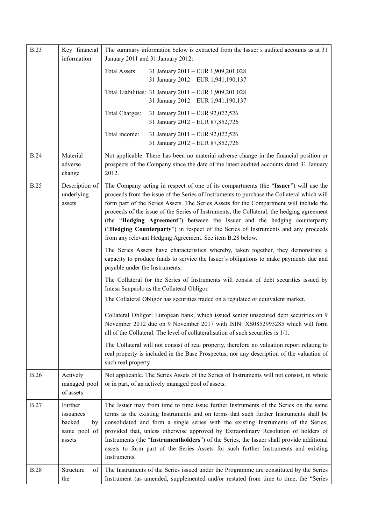| <b>B.23</b> | Key financial<br>information                                   | The summary information below is extracted from the Issuer's audited accounts as at 31<br>January 2011 and 31 January 2012:                                                                                                                                                                                                                                                                                                                                                                                                                                                                              |
|-------------|----------------------------------------------------------------|----------------------------------------------------------------------------------------------------------------------------------------------------------------------------------------------------------------------------------------------------------------------------------------------------------------------------------------------------------------------------------------------------------------------------------------------------------------------------------------------------------------------------------------------------------------------------------------------------------|
|             |                                                                | Total Assets:<br>31 January 2011 - EUR 1,909,201,028<br>31 January 2012 - EUR 1,941,190,137                                                                                                                                                                                                                                                                                                                                                                                                                                                                                                              |
|             |                                                                | Total Liabilities: 31 January 2011 - EUR 1,909,201,028<br>31 January 2012 - EUR 1,941,190,137                                                                                                                                                                                                                                                                                                                                                                                                                                                                                                            |
|             |                                                                | Total Charges:<br>31 January 2011 - EUR 92,022,526<br>31 January 2012 - EUR 87,852,726                                                                                                                                                                                                                                                                                                                                                                                                                                                                                                                   |
|             |                                                                | Total income:<br>31 January 2011 - EUR 92,022,526<br>31 January 2012 - EUR 87,852,726                                                                                                                                                                                                                                                                                                                                                                                                                                                                                                                    |
| <b>B.24</b> | Material<br>adverse<br>change                                  | Not applicable. There has been no material adverse change in the financial position or<br>prospects of the Company since the date of the latest audited accounts dated 31 January<br>2012.                                                                                                                                                                                                                                                                                                                                                                                                               |
| <b>B.25</b> | Description of<br>underlying<br>assets                         | The Company acting in respect of one of its compartments (the "Issuer") will use the<br>proceeds from the issue of the Series of Instruments to purchase the Collateral which will<br>form part of the Series Assets. The Series Assets for the Compartment will include the<br>proceeds of the issue of the Series of Instruments, the Collateral, the hedging agreement<br>(the "Hedging Agreement") between the Issuer and the hedging counterparty<br>("Hedging Counterparty") in respect of the Series of Instruments and any proceeds<br>from any relevant Hedging Agreement. See item B.28 below. |
|             |                                                                | The Series Assets have characteristics whereby, taken together, they demonstrate a<br>capacity to produce funds to service the Issuer's obligations to make payments due and<br>payable under the Instruments.                                                                                                                                                                                                                                                                                                                                                                                           |
|             |                                                                | The Collateral for the Series of Instruments will consist of debt securities issued by<br>Intesa Sanpaolo as the Collateral Obligor.                                                                                                                                                                                                                                                                                                                                                                                                                                                                     |
|             |                                                                | The Collateral Obligor has securities traded on a regulated or equivalent market.                                                                                                                                                                                                                                                                                                                                                                                                                                                                                                                        |
|             |                                                                | Collateral Obligor: European bank, which issued senior unsecured debt securities on 9<br>November 2012 due on 9 November 2017 with ISIN: XS0852993285 which will form<br>all of the Collateral. The level of collateralisation of such securities is 1/1.                                                                                                                                                                                                                                                                                                                                                |
|             |                                                                | The Collateral will not consist of real property, therefore no valuation report relating to<br>real property is included in the Base Prospectus, nor any description of the valuation of<br>such real property.                                                                                                                                                                                                                                                                                                                                                                                          |
| <b>B.26</b> | Actively<br>managed pool<br>of assets                          | Not applicable. The Series Assets of the Series of Instruments will not consist, in whole<br>or in part, of an actively managed pool of assets.                                                                                                                                                                                                                                                                                                                                                                                                                                                          |
| <b>B.27</b> | Further<br>issuances<br>backed<br>by<br>same pool of<br>assets | The Issuer may from time to time issue further Instruments of the Series on the same<br>terms as the existing Instruments and on terms that such further Instruments shall be<br>consolidated and form a single series with the existing Instruments of the Series;<br>provided that, unless otherwise approved by Extraordinary Resolution of holders of<br>Instruments (the "Instrumentholders") of the Series, the Issuer shall provide additional<br>assets to form part of the Series Assets for such further Instruments and existing<br>Instruments.                                              |
| <b>B.28</b> | Structure<br>of<br>the                                         | The Instruments of the Series issued under the Programme are constituted by the Series<br>Instrument (as amended, supplemented and/or restated from time to time, the "Series                                                                                                                                                                                                                                                                                                                                                                                                                            |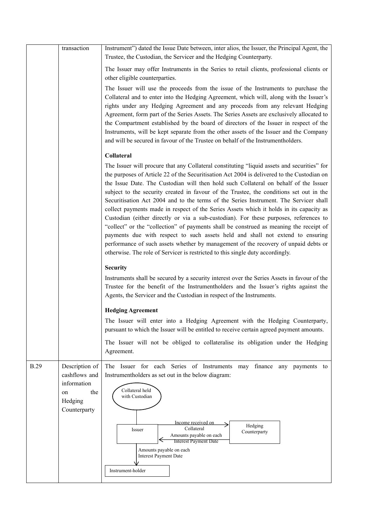|             | transaction                                                                            | Instrument") dated the Issue Date between, inter alios, the Issuer, the Principal Agent, the<br>Trustee, the Custodian, the Servicer and the Hedging Counterparty.                                                                                                                                                                                                                                                                                                                                                                                                                                                                                                                                                                                                                                                                                                                                                                                                                                             |
|-------------|----------------------------------------------------------------------------------------|----------------------------------------------------------------------------------------------------------------------------------------------------------------------------------------------------------------------------------------------------------------------------------------------------------------------------------------------------------------------------------------------------------------------------------------------------------------------------------------------------------------------------------------------------------------------------------------------------------------------------------------------------------------------------------------------------------------------------------------------------------------------------------------------------------------------------------------------------------------------------------------------------------------------------------------------------------------------------------------------------------------|
|             |                                                                                        | The Issuer may offer Instruments in the Series to retail clients, professional clients or<br>other eligible counterparties.                                                                                                                                                                                                                                                                                                                                                                                                                                                                                                                                                                                                                                                                                                                                                                                                                                                                                    |
|             |                                                                                        | The Issuer will use the proceeds from the issue of the Instruments to purchase the<br>Collateral and to enter into the Hedging Agreement, which will, along with the Issuer's<br>rights under any Hedging Agreement and any proceeds from any relevant Hedging<br>Agreement, form part of the Series Assets. The Series Assets are exclusively allocated to<br>the Compartment established by the board of directors of the Issuer in respect of the<br>Instruments, will be kept separate from the other assets of the Issuer and the Company<br>and will be secured in favour of the Trustee on behalf of the Instrumentholders.                                                                                                                                                                                                                                                                                                                                                                             |
|             |                                                                                        | Collateral                                                                                                                                                                                                                                                                                                                                                                                                                                                                                                                                                                                                                                                                                                                                                                                                                                                                                                                                                                                                     |
|             |                                                                                        | The Issuer will procure that any Collateral constituting "liquid assets and securities" for<br>the purposes of Article 22 of the Securitisation Act 2004 is delivered to the Custodian on<br>the Issue Date. The Custodian will then hold such Collateral on behalf of the Issuer<br>subject to the security created in favour of the Trustee, the conditions set out in the<br>Securitisation Act 2004 and to the terms of the Series Instrument. The Servicer shall<br>collect payments made in respect of the Series Assets which it holds in its capacity as<br>Custodian (either directly or via a sub-custodian). For these purposes, references to<br>"collect" or the "collection" of payments shall be construed as meaning the receipt of<br>payments due with respect to such assets held and shall not extend to ensuring<br>performance of such assets whether by management of the recovery of unpaid debts or<br>otherwise. The role of Servicer is restricted to this single duty accordingly. |
|             |                                                                                        | <b>Security</b>                                                                                                                                                                                                                                                                                                                                                                                                                                                                                                                                                                                                                                                                                                                                                                                                                                                                                                                                                                                                |
|             |                                                                                        | Instruments shall be secured by a security interest over the Series Assets in favour of the<br>Trustee for the benefit of the Instrumentholders and the Issuer's rights against the<br>Agents, the Servicer and the Custodian in respect of the Instruments.                                                                                                                                                                                                                                                                                                                                                                                                                                                                                                                                                                                                                                                                                                                                                   |
|             |                                                                                        | <b>Hedging Agreement</b>                                                                                                                                                                                                                                                                                                                                                                                                                                                                                                                                                                                                                                                                                                                                                                                                                                                                                                                                                                                       |
|             |                                                                                        | The Issuer will enter into a Hedging Agreement with the Hedging Counterparty,<br>pursuant to which the Issuer will be entitled to receive certain agreed payment amounts.                                                                                                                                                                                                                                                                                                                                                                                                                                                                                                                                                                                                                                                                                                                                                                                                                                      |
|             |                                                                                        | The Issuer will not be obliged to collateralise its obligation under the Hedging<br>Agreement.                                                                                                                                                                                                                                                                                                                                                                                                                                                                                                                                                                                                                                                                                                                                                                                                                                                                                                                 |
| <b>B.29</b> | Description of<br>cashflows and<br>information<br>the<br>on<br>Hedging<br>Counterparty | The Issuer for each Series of Instruments may finance any payments to<br>Instrumentholders as set out in the below diagram:<br>Collateral held<br>with Custodian<br>Income received on<br>Hedging<br>Collateral<br>Issuer<br>Counterparty<br>Amounts payable on each<br><b>Interest Payment Date</b><br>Amounts payable on each<br><b>Interest Payment Date</b><br>Instrument-holder                                                                                                                                                                                                                                                                                                                                                                                                                                                                                                                                                                                                                           |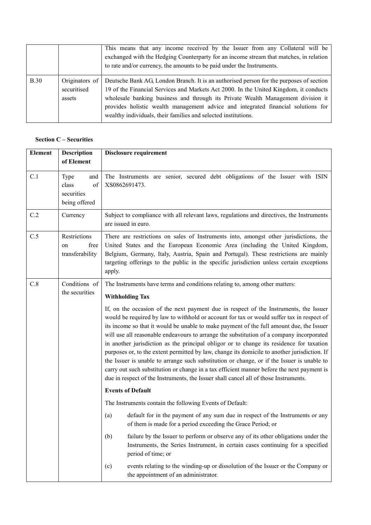|      |                                         | This means that any income received by the Issuer from any Collateral will be<br>exchanged with the Hedging Counterparty for an income stream that matches, in relation<br>to rate and/or currency, the amounts to be paid under the Instruments.                                                                                                                                                                           |
|------|-----------------------------------------|-----------------------------------------------------------------------------------------------------------------------------------------------------------------------------------------------------------------------------------------------------------------------------------------------------------------------------------------------------------------------------------------------------------------------------|
| B.30 | Originators of<br>securitised<br>assets | Deutsche Bank AG, London Branch. It is an authorised person for the purposes of section<br>19 of the Financial Services and Markets Act 2000. In the United Kingdom, it conducts<br>wholesale banking business and through its Private Wealth Management division it<br>provides holistic wealth management advice and integrated financial solutions for<br>wealthy individuals, their families and selected institutions. |

## **Section C – Securities**

| <b>Element</b> | <b>Description</b><br>of Element                          | <b>Disclosure requirement</b>                                                                                                                                                                                                                                                                                                                                                                                                                                                                                                                                                                                                                                                                                                                                                                                                                              |
|----------------|-----------------------------------------------------------|------------------------------------------------------------------------------------------------------------------------------------------------------------------------------------------------------------------------------------------------------------------------------------------------------------------------------------------------------------------------------------------------------------------------------------------------------------------------------------------------------------------------------------------------------------------------------------------------------------------------------------------------------------------------------------------------------------------------------------------------------------------------------------------------------------------------------------------------------------|
| C.1            | Type<br>and<br>class<br>of<br>securities<br>being offered | The Instruments are senior, secured debt obligations of the Issuer with ISIN<br>XS0862691473.                                                                                                                                                                                                                                                                                                                                                                                                                                                                                                                                                                                                                                                                                                                                                              |
| C.2            | Currency                                                  | Subject to compliance with all relevant laws, regulations and directives, the Instruments<br>are issued in euro.                                                                                                                                                                                                                                                                                                                                                                                                                                                                                                                                                                                                                                                                                                                                           |
| C.5            | Restrictions<br>free<br>on<br>transferability             | There are restrictions on sales of Instruments into, amongst other jurisdictions, the<br>United States and the European Economic Area (including the United Kingdom,<br>Belgium, Germany, Italy, Austria, Spain and Portugal). These restrictions are mainly<br>targeting offerings to the public in the specific jurisdiction unless certain exceptions<br>apply.                                                                                                                                                                                                                                                                                                                                                                                                                                                                                         |
| C.8            | Conditions of                                             | The Instruments have terms and conditions relating to, among other matters:                                                                                                                                                                                                                                                                                                                                                                                                                                                                                                                                                                                                                                                                                                                                                                                |
|                | the securities                                            | <b>Withholding Tax</b>                                                                                                                                                                                                                                                                                                                                                                                                                                                                                                                                                                                                                                                                                                                                                                                                                                     |
|                |                                                           | If, on the occasion of the next payment due in respect of the Instruments, the Issuer<br>would be required by law to withhold or account for tax or would suffer tax in respect of<br>its income so that it would be unable to make payment of the full amount due, the Issuer<br>will use all reasonable endeavours to arrange the substitution of a company incorporated<br>in another jurisdiction as the principal obligor or to change its residence for taxation<br>purposes or, to the extent permitted by law, change its domicile to another jurisdiction. If<br>the Issuer is unable to arrange such substitution or change, or if the Issuer is unable to<br>carry out such substitution or change in a tax efficient manner before the next payment is<br>due in respect of the Instruments, the Issuer shall cancel all of those Instruments. |
|                |                                                           | <b>Events of Default</b>                                                                                                                                                                                                                                                                                                                                                                                                                                                                                                                                                                                                                                                                                                                                                                                                                                   |
|                |                                                           | The Instruments contain the following Events of Default:                                                                                                                                                                                                                                                                                                                                                                                                                                                                                                                                                                                                                                                                                                                                                                                                   |
|                |                                                           | default for in the payment of any sum due in respect of the Instruments or any<br>(a)<br>of them is made for a period exceeding the Grace Period; or                                                                                                                                                                                                                                                                                                                                                                                                                                                                                                                                                                                                                                                                                                       |
|                |                                                           | (b)<br>failure by the Issuer to perform or observe any of its other obligations under the<br>Instruments, the Series Instrument, in certain cases continuing for a specified<br>period of time; or                                                                                                                                                                                                                                                                                                                                                                                                                                                                                                                                                                                                                                                         |
|                |                                                           | events relating to the winding-up or dissolution of the Issuer or the Company or<br>(c)<br>the appointment of an administrator.                                                                                                                                                                                                                                                                                                                                                                                                                                                                                                                                                                                                                                                                                                                            |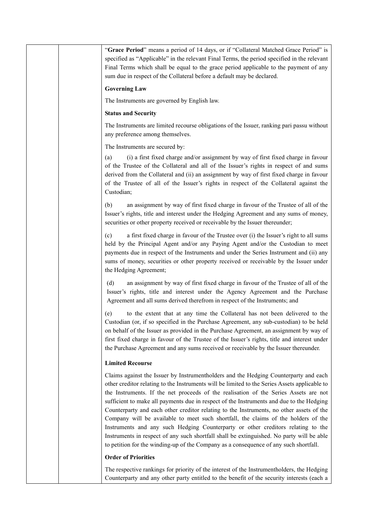| "Grace Period" means a period of 14 days, or if "Collateral Matched Grace Period" is<br>specified as "Applicable" in the relevant Final Terms, the period specified in the relevant<br>Final Terms which shall be equal to the grace period applicable to the payment of any<br>sum due in respect of the Collateral before a default may be declared.                                                                                                                                                                                                                                                                                                                                                                                                                                                                                |
|---------------------------------------------------------------------------------------------------------------------------------------------------------------------------------------------------------------------------------------------------------------------------------------------------------------------------------------------------------------------------------------------------------------------------------------------------------------------------------------------------------------------------------------------------------------------------------------------------------------------------------------------------------------------------------------------------------------------------------------------------------------------------------------------------------------------------------------|
| <b>Governing Law</b>                                                                                                                                                                                                                                                                                                                                                                                                                                                                                                                                                                                                                                                                                                                                                                                                                  |
| The Instruments are governed by English law.                                                                                                                                                                                                                                                                                                                                                                                                                                                                                                                                                                                                                                                                                                                                                                                          |
| <b>Status and Security</b>                                                                                                                                                                                                                                                                                                                                                                                                                                                                                                                                                                                                                                                                                                                                                                                                            |
| The Instruments are limited recourse obligations of the Issuer, ranking pari passu without<br>any preference among themselves.                                                                                                                                                                                                                                                                                                                                                                                                                                                                                                                                                                                                                                                                                                        |
| The Instruments are secured by:                                                                                                                                                                                                                                                                                                                                                                                                                                                                                                                                                                                                                                                                                                                                                                                                       |
| (i) a first fixed charge and/or assignment by way of first fixed charge in favour<br>(a)<br>of the Trustee of the Collateral and all of the Issuer's rights in respect of and sums<br>derived from the Collateral and (ii) an assignment by way of first fixed charge in favour<br>of the Trustee of all of the Issuer's rights in respect of the Collateral against the<br>Custodian;                                                                                                                                                                                                                                                                                                                                                                                                                                                |
| an assignment by way of first fixed charge in favour of the Trustee of all of the<br>(b)<br>Issuer's rights, title and interest under the Hedging Agreement and any sums of money,<br>securities or other property received or receivable by the Issuer thereunder;                                                                                                                                                                                                                                                                                                                                                                                                                                                                                                                                                                   |
| a first fixed charge in favour of the Trustee over (i) the Issuer's right to all sums<br>(c)<br>held by the Principal Agent and/or any Paying Agent and/or the Custodian to meet<br>payments due in respect of the Instruments and under the Series Instrument and (ii) any<br>sums of money, securities or other property received or receivable by the Issuer under<br>the Hedging Agreement;                                                                                                                                                                                                                                                                                                                                                                                                                                       |
| an assignment by way of first fixed charge in favour of the Trustee of all of the<br>(d)<br>Issuer's rights, title and interest under the Agency Agreement and the Purchase<br>Agreement and all sums derived therefrom in respect of the Instruments; and                                                                                                                                                                                                                                                                                                                                                                                                                                                                                                                                                                            |
| to the extent that at any time the Collateral has not been delivered to the<br>(e)<br>Custodian (or, if so specified in the Purchase Agreement, any sub-custodian) to be held<br>on behalf of the Issuer as provided in the Purchase Agreement, an assignment by way of<br>first fixed charge in favour of the Trustee of the Issuer's rights, title and interest under<br>the Purchase Agreement and any sums received or receivable by the Issuer thereunder.                                                                                                                                                                                                                                                                                                                                                                       |
| <b>Limited Recourse</b>                                                                                                                                                                                                                                                                                                                                                                                                                                                                                                                                                                                                                                                                                                                                                                                                               |
| Claims against the Issuer by Instrumentholders and the Hedging Counterparty and each<br>other creditor relating to the Instruments will be limited to the Series Assets applicable to<br>the Instruments. If the net proceeds of the realisation of the Series Assets are not<br>sufficient to make all payments due in respect of the Instruments and due to the Hedging<br>Counterparty and each other creditor relating to the Instruments, no other assets of the<br>Company will be available to meet such shortfall, the claims of the holders of the<br>Instruments and any such Hedging Counterparty or other creditors relating to the<br>Instruments in respect of any such shortfall shall be extinguished. No party will be able<br>to petition for the winding-up of the Company as a consequence of any such shortfall. |
| <b>Order of Priorities</b>                                                                                                                                                                                                                                                                                                                                                                                                                                                                                                                                                                                                                                                                                                                                                                                                            |
| The respective rankings for priority of the interest of the Instrumentholders, the Hedging<br>Counterparty and any other party entitled to the benefit of the security interests (each a                                                                                                                                                                                                                                                                                                                                                                                                                                                                                                                                                                                                                                              |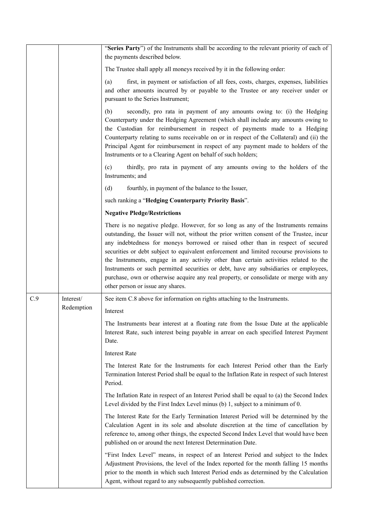|     |            | "Series Party") of the Instruments shall be according to the relevant priority of each of<br>the payments described below.                                                                                                                                                                                                                                                                                                                                                                                                                                                                                                                                                     |
|-----|------------|--------------------------------------------------------------------------------------------------------------------------------------------------------------------------------------------------------------------------------------------------------------------------------------------------------------------------------------------------------------------------------------------------------------------------------------------------------------------------------------------------------------------------------------------------------------------------------------------------------------------------------------------------------------------------------|
|     |            | The Trustee shall apply all moneys received by it in the following order:                                                                                                                                                                                                                                                                                                                                                                                                                                                                                                                                                                                                      |
|     |            | first, in payment or satisfaction of all fees, costs, charges, expenses, liabilities<br>(a)<br>and other amounts incurred by or payable to the Trustee or any receiver under or<br>pursuant to the Series Instrument;                                                                                                                                                                                                                                                                                                                                                                                                                                                          |
|     |            | secondly, pro rata in payment of any amounts owing to: (i) the Hedging<br>(b)<br>Counterparty under the Hedging Agreement (which shall include any amounts owing to<br>the Custodian for reimbursement in respect of payments made to a Hedging<br>Counterparty relating to sums receivable on or in respect of the Collateral) and (ii) the<br>Principal Agent for reimbursement in respect of any payment made to holders of the<br>Instruments or to a Clearing Agent on behalf of such holders;                                                                                                                                                                            |
|     |            | thirdly, pro rata in payment of any amounts owing to the holders of the<br>(c)<br>Instruments; and                                                                                                                                                                                                                                                                                                                                                                                                                                                                                                                                                                             |
|     |            | (d)<br>fourthly, in payment of the balance to the Issuer,                                                                                                                                                                                                                                                                                                                                                                                                                                                                                                                                                                                                                      |
|     |            | such ranking a "Hedging Counterparty Priority Basis".                                                                                                                                                                                                                                                                                                                                                                                                                                                                                                                                                                                                                          |
|     |            | <b>Negative Pledge/Restrictions</b>                                                                                                                                                                                                                                                                                                                                                                                                                                                                                                                                                                                                                                            |
|     |            | There is no negative pledge. However, for so long as any of the Instruments remains<br>outstanding, the Issuer will not, without the prior written consent of the Trustee, incur<br>any indebtedness for moneys borrowed or raised other than in respect of secured<br>securities or debt subject to equivalent enforcement and limited recourse provisions to<br>the Instruments, engage in any activity other than certain activities related to the<br>Instruments or such permitted securities or debt, have any subsidiaries or employees,<br>purchase, own or otherwise acquire any real property, or consolidate or merge with any<br>other person or issue any shares. |
| C.9 | Interest/  | See item C.8 above for information on rights attaching to the Instruments.                                                                                                                                                                                                                                                                                                                                                                                                                                                                                                                                                                                                     |
|     | Redemption | Interest                                                                                                                                                                                                                                                                                                                                                                                                                                                                                                                                                                                                                                                                       |
|     |            | The Instruments bear interest at a floating rate from the Issue Date at the applicable<br>Interest Rate, such interest being payable in arrear on each specified Interest Payment<br>Date.                                                                                                                                                                                                                                                                                                                                                                                                                                                                                     |
|     |            | <b>Interest Rate</b>                                                                                                                                                                                                                                                                                                                                                                                                                                                                                                                                                                                                                                                           |
|     |            | The Interest Rate for the Instruments for each Interest Period other than the Early<br>Termination Interest Period shall be equal to the Inflation Rate in respect of such Interest<br>Period.                                                                                                                                                                                                                                                                                                                                                                                                                                                                                 |
|     |            | The Inflation Rate in respect of an Interest Period shall be equal to (a) the Second Index<br>Level divided by the First Index Level minus (b) $1$ , subject to a minimum of $0$ .                                                                                                                                                                                                                                                                                                                                                                                                                                                                                             |
|     |            | The Interest Rate for the Early Termination Interest Period will be determined by the<br>Calculation Agent in its sole and absolute discretion at the time of cancellation by<br>reference to, among other things, the expected Second Index Level that would have been<br>published on or around the next Interest Determination Date.                                                                                                                                                                                                                                                                                                                                        |
|     |            | "First Index Level" means, in respect of an Interest Period and subject to the Index<br>Adjustment Provisions, the level of the Index reported for the month falling 15 months<br>prior to the month in which such Interest Period ends as determined by the Calculation<br>Agent, without regard to any subsequently published correction.                                                                                                                                                                                                                                                                                                                                    |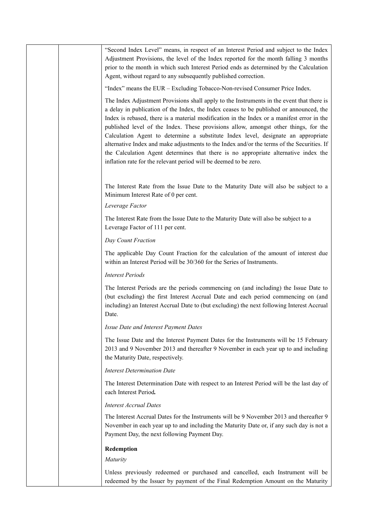| "Second Index Level" means, in respect of an Interest Period and subject to the Index<br>Adjustment Provisions, the level of the Index reported for the month falling 3 months<br>prior to the month in which such Interest Period ends as determined by the Calculation<br>Agent, without regard to any subsequently published correction.                                                                                                                                                                                                                                                                                                                                                                              |
|--------------------------------------------------------------------------------------------------------------------------------------------------------------------------------------------------------------------------------------------------------------------------------------------------------------------------------------------------------------------------------------------------------------------------------------------------------------------------------------------------------------------------------------------------------------------------------------------------------------------------------------------------------------------------------------------------------------------------|
| "Index" means the EUR – Excluding Tobacco-Non-revised Consumer Price Index.                                                                                                                                                                                                                                                                                                                                                                                                                                                                                                                                                                                                                                              |
| The Index Adjustment Provisions shall apply to the Instruments in the event that there is<br>a delay in publication of the Index, the Index ceases to be published or announced, the<br>Index is rebased, there is a material modification in the Index or a manifest error in the<br>published level of the Index. These provisions allow, amongst other things, for the<br>Calculation Agent to determine a substitute Index level, designate an appropriate<br>alternative Index and make adjustments to the Index and/or the terms of the Securities. If<br>the Calculation Agent determines that there is no appropriate alternative index the<br>inflation rate for the relevant period will be deemed to be zero. |
| The Interest Rate from the Issue Date to the Maturity Date will also be subject to a<br>Minimum Interest Rate of 0 per cent.<br>Leverage Factor                                                                                                                                                                                                                                                                                                                                                                                                                                                                                                                                                                          |
| The Interest Rate from the Issue Date to the Maturity Date will also be subject to a<br>Leverage Factor of 111 per cent.                                                                                                                                                                                                                                                                                                                                                                                                                                                                                                                                                                                                 |
| Day Count Fraction                                                                                                                                                                                                                                                                                                                                                                                                                                                                                                                                                                                                                                                                                                       |
| The applicable Day Count Fraction for the calculation of the amount of interest due<br>within an Interest Period will be 30/360 for the Series of Instruments.                                                                                                                                                                                                                                                                                                                                                                                                                                                                                                                                                           |
| <b>Interest Periods</b>                                                                                                                                                                                                                                                                                                                                                                                                                                                                                                                                                                                                                                                                                                  |
| The Interest Periods are the periods commencing on (and including) the Issue Date to<br>(but excluding) the first Interest Accrual Date and each period commencing on (and<br>including) an Interest Accrual Date to (but excluding) the next following Interest Accrual<br>Date.                                                                                                                                                                                                                                                                                                                                                                                                                                        |
| Issue Date and Interest Payment Dates                                                                                                                                                                                                                                                                                                                                                                                                                                                                                                                                                                                                                                                                                    |
| The Issue Date and the Interest Payment Dates for the Instruments will be 15 February<br>2013 and 9 November 2013 and thereafter 9 November in each year up to and including<br>the Maturity Date, respectively.                                                                                                                                                                                                                                                                                                                                                                                                                                                                                                         |
| <b>Interest Determination Date</b>                                                                                                                                                                                                                                                                                                                                                                                                                                                                                                                                                                                                                                                                                       |
| The Interest Determination Date with respect to an Interest Period will be the last day of<br>each Interest Period.                                                                                                                                                                                                                                                                                                                                                                                                                                                                                                                                                                                                      |
| <b>Interest Accrual Dates</b>                                                                                                                                                                                                                                                                                                                                                                                                                                                                                                                                                                                                                                                                                            |
| The Interest Accrual Dates for the Instruments will be 9 November 2013 and thereafter 9<br>November in each year up to and including the Maturity Date or, if any such day is not a<br>Payment Day, the next following Payment Day.                                                                                                                                                                                                                                                                                                                                                                                                                                                                                      |
| Redemption                                                                                                                                                                                                                                                                                                                                                                                                                                                                                                                                                                                                                                                                                                               |
| Maturity                                                                                                                                                                                                                                                                                                                                                                                                                                                                                                                                                                                                                                                                                                                 |
| Unless previously redeemed or purchased and cancelled, each Instrument will be<br>redeemed by the Issuer by payment of the Final Redemption Amount on the Maturity                                                                                                                                                                                                                                                                                                                                                                                                                                                                                                                                                       |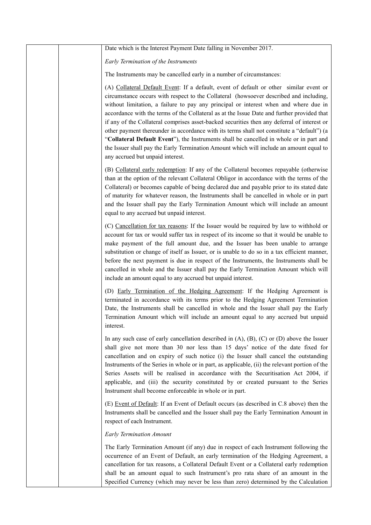| Date which is the Interest Payment Date falling in November 2017.                                                                                                                                                                                                                                                                                                                                                                                                                                                                                                                                                                                                                                                                                                                             |
|-----------------------------------------------------------------------------------------------------------------------------------------------------------------------------------------------------------------------------------------------------------------------------------------------------------------------------------------------------------------------------------------------------------------------------------------------------------------------------------------------------------------------------------------------------------------------------------------------------------------------------------------------------------------------------------------------------------------------------------------------------------------------------------------------|
| Early Termination of the Instruments                                                                                                                                                                                                                                                                                                                                                                                                                                                                                                                                                                                                                                                                                                                                                          |
| The Instruments may be cancelled early in a number of circumstances:                                                                                                                                                                                                                                                                                                                                                                                                                                                                                                                                                                                                                                                                                                                          |
| (A) Collateral Default Event: If a default, event of default or other similar event or<br>circumstance occurs with respect to the Collateral (howsoever described and including,<br>without limitation, a failure to pay any principal or interest when and where due in<br>accordance with the terms of the Collateral as at the Issue Date and further provided that<br>if any of the Collateral comprises asset-backed securities then any deferral of interest or<br>other payment thereunder in accordance with its terms shall not constitute a "default") (a<br>"Collateral Default Event"), the Instruments shall be cancelled in whole or in part and<br>the Issuer shall pay the Early Termination Amount which will include an amount equal to<br>any accrued but unpaid interest. |
| (B) Collateral early redemption: If any of the Collateral becomes repayable (otherwise<br>than at the option of the relevant Collateral Obligor in accordance with the terms of the<br>Collateral) or becomes capable of being declared due and payable prior to its stated date<br>of maturity for whatever reason, the Instruments shall be cancelled in whole or in part<br>and the Issuer shall pay the Early Termination Amount which will include an amount<br>equal to any accrued but unpaid interest.                                                                                                                                                                                                                                                                                |
| (C) Cancellation for tax reasons: If the Issuer would be required by law to withhold or<br>account for tax or would suffer tax in respect of its income so that it would be unable to<br>make payment of the full amount due, and the Issuer has been unable to arrange<br>substitution or change of itself as Issuer, or is unable to do so in a tax efficient manner,<br>before the next payment is due in respect of the Instruments, the Instruments shall be<br>cancelled in whole and the Issuer shall pay the Early Termination Amount which will<br>include an amount equal to any accrued but unpaid interest.                                                                                                                                                                       |
| (D) Early Termination of the Hedging Agreement: If the Hedging Agreement is<br>terminated in accordance with its terms prior to the Hedging Agreement Termination<br>Date, the Instruments shall be cancelled in whole and the Issuer shall pay the Early<br>Termination Amount which will include an amount equal to any accrued but unpaid<br>interest.                                                                                                                                                                                                                                                                                                                                                                                                                                     |
| In any such case of early cancellation described in $(A)$ , $(B)$ , $(C)$ or $(D)$ above the Issuer<br>shall give not more than 30 nor less than 15 days' notice of the date fixed for<br>cancellation and on expiry of such notice (i) the Issuer shall cancel the outstanding<br>Instruments of the Series in whole or in part, as applicable, (ii) the relevant portion of the<br>Series Assets will be realised in accordance with the Securitisation Act 2004, if<br>applicable, and (iii) the security constituted by or created pursuant to the Series<br>Instrument shall become enforceable in whole or in part.                                                                                                                                                                     |
| (E) Event of Default: If an Event of Default occurs (as described in C.8 above) then the<br>Instruments shall be cancelled and the Issuer shall pay the Early Termination Amount in<br>respect of each Instrument.                                                                                                                                                                                                                                                                                                                                                                                                                                                                                                                                                                            |
| <b>Early Termination Amount</b>                                                                                                                                                                                                                                                                                                                                                                                                                                                                                                                                                                                                                                                                                                                                                               |
| The Early Termination Amount (if any) due in respect of each Instrument following the<br>occurrence of an Event of Default, an early termination of the Hedging Agreement, a<br>cancellation for tax reasons, a Collateral Default Event or a Collateral early redemption<br>shall be an amount equal to such Instrument's pro rata share of an amount in the<br>Specified Currency (which may never be less than zero) determined by the Calculation                                                                                                                                                                                                                                                                                                                                         |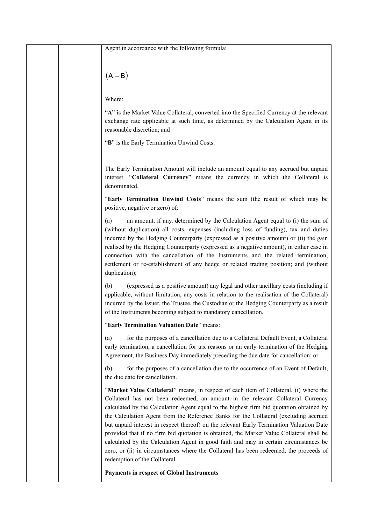| Agent in accordance with the following formula:                                                                                                                                                                                                                                                                                                                                                                                                                                                                                                                                                                                                                                                                                                                         |
|-------------------------------------------------------------------------------------------------------------------------------------------------------------------------------------------------------------------------------------------------------------------------------------------------------------------------------------------------------------------------------------------------------------------------------------------------------------------------------------------------------------------------------------------------------------------------------------------------------------------------------------------------------------------------------------------------------------------------------------------------------------------------|
|                                                                                                                                                                                                                                                                                                                                                                                                                                                                                                                                                                                                                                                                                                                                                                         |
| $(A - B)$                                                                                                                                                                                                                                                                                                                                                                                                                                                                                                                                                                                                                                                                                                                                                               |
| Where:                                                                                                                                                                                                                                                                                                                                                                                                                                                                                                                                                                                                                                                                                                                                                                  |
| "A" is the Market Value Collateral, converted into the Specified Currency at the relevant<br>exchange rate applicable at such time, as determined by the Calculation Agent in its<br>reasonable discretion; and                                                                                                                                                                                                                                                                                                                                                                                                                                                                                                                                                         |
| "B" is the Early Termination Unwind Costs.                                                                                                                                                                                                                                                                                                                                                                                                                                                                                                                                                                                                                                                                                                                              |
| The Early Termination Amount will include an amount equal to any accrued but unpaid<br>interest. "Collateral Currency" means the currency in which the Collateral is<br>denominated.                                                                                                                                                                                                                                                                                                                                                                                                                                                                                                                                                                                    |
| "Early Termination Unwind Costs" means the sum (the result of which may be<br>positive, negative or zero) of:                                                                                                                                                                                                                                                                                                                                                                                                                                                                                                                                                                                                                                                           |
| an amount, if any, determined by the Calculation Agent equal to (i) the sum of<br>(a)<br>(without duplication) all costs, expenses (including loss of funding), tax and duties<br>incurred by the Hedging Counterparty (expressed as a positive amount) or (ii) the gain<br>realised by the Hedging Counterparty (expressed as a negative amount), in either case in<br>connection with the cancellation of the Instruments and the related termination,<br>settlement or re-establishment of any hedge or related trading position; and (without<br>duplication);                                                                                                                                                                                                      |
| (expressed as a positive amount) any legal and other ancillary costs (including if<br>(b)<br>applicable, without limitation, any costs in relation to the realisation of the Collateral)<br>incurred by the Issuer, the Trustee, the Custodian or the Hedging Counterparty as a result<br>of the Instruments becoming subject to mandatory cancellation.                                                                                                                                                                                                                                                                                                                                                                                                                |
| "Early Termination Valuation Date" means:                                                                                                                                                                                                                                                                                                                                                                                                                                                                                                                                                                                                                                                                                                                               |
| for the purposes of a cancellation due to a Collateral Default Event, a Collateral<br>(a)<br>early termination, a cancellation for tax reasons or an early termination of the Hedging<br>Agreement, the Business Day immediately preceding the due date for cancellation; or                                                                                                                                                                                                                                                                                                                                                                                                                                                                                            |
| for the purposes of a cancellation due to the occurrence of an Event of Default,<br>(b)<br>the due date for cancellation.                                                                                                                                                                                                                                                                                                                                                                                                                                                                                                                                                                                                                                               |
| "Market Value Collateral" means, in respect of each item of Collateral, (i) where the<br>Collateral has not been redeemed, an amount in the relevant Collateral Currency<br>calculated by the Calculation Agent equal to the highest firm bid quotation obtained by<br>the Calculation Agent from the Reference Banks for the Collateral (excluding accrued<br>but unpaid interest in respect thereof) on the relevant Early Termination Valuation Date<br>provided that if no firm bid quotation is obtained, the Market Value Collateral shall be<br>calculated by the Calculation Agent in good faith and may in certain circumstances be<br>zero, or (ii) in circumstances where the Collateral has been redeemed, the proceeds of<br>redemption of the Collateral. |
| Payments in respect of Global Instruments                                                                                                                                                                                                                                                                                                                                                                                                                                                                                                                                                                                                                                                                                                                               |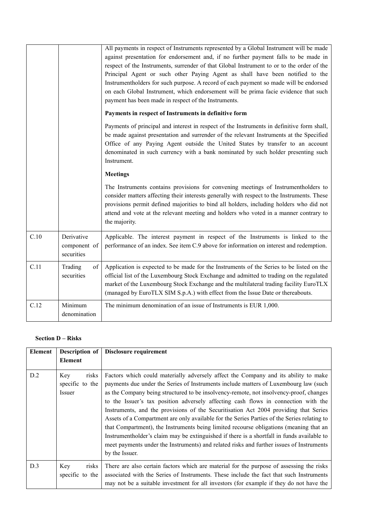|      |                                          | All payments in respect of Instruments represented by a Global Instrument will be made<br>against presentation for endorsement and, if no further payment falls to be made in<br>respect of the Instruments, surrender of that Global Instrument to or to the order of the<br>Principal Agent or such other Paying Agent as shall have been notified to the<br>Instrumentholders for such purpose. A record of each payment so made will be endorsed<br>on each Global Instrument, which endorsement will be prima facie evidence that such<br>payment has been made in respect of the Instruments. |
|------|------------------------------------------|-----------------------------------------------------------------------------------------------------------------------------------------------------------------------------------------------------------------------------------------------------------------------------------------------------------------------------------------------------------------------------------------------------------------------------------------------------------------------------------------------------------------------------------------------------------------------------------------------------|
|      |                                          | Payments in respect of Instruments in definitive form<br>Payments of principal and interest in respect of the Instruments in definitive form shall,<br>be made against presentation and surrender of the relevant Instruments at the Specified                                                                                                                                                                                                                                                                                                                                                      |
|      |                                          | Office of any Paying Agent outside the United States by transfer to an account<br>denominated in such currency with a bank nominated by such holder presenting such<br>Instrument.                                                                                                                                                                                                                                                                                                                                                                                                                  |
|      |                                          | <b>Meetings</b>                                                                                                                                                                                                                                                                                                                                                                                                                                                                                                                                                                                     |
|      |                                          | The Instruments contains provisions for convening meetings of Instrumentholders to<br>consider matters affecting their interests generally with respect to the Instruments. These<br>provisions permit defined majorities to bind all holders, including holders who did not<br>attend and vote at the relevant meeting and holders who voted in a manner contrary to<br>the majority.                                                                                                                                                                                                              |
| C.10 | Derivative<br>component of<br>securities | Applicable. The interest payment in respect of the Instruments is linked to the<br>performance of an index. See item C.9 above for information on interest and redemption.                                                                                                                                                                                                                                                                                                                                                                                                                          |
| C.11 | Trading<br>of<br>securities              | Application is expected to be made for the Instruments of the Series to be listed on the<br>official list of the Luxembourg Stock Exchange and admitted to trading on the regulated<br>market of the Luxembourg Stock Exchange and the multilateral trading facility EuroTLX<br>(managed by EuroTLX SIM S.p.A.) with effect from the Issue Date or thereabouts.                                                                                                                                                                                                                                     |
| C.12 | Minimum<br>denomination                  | The minimum denomination of an issue of Instruments is EUR 1,000.                                                                                                                                                                                                                                                                                                                                                                                                                                                                                                                                   |

## **Section D – Risks**

| Element | Description of<br><b>Element</b>                 | Disclosure requirement                                                                                                                                                                                                                                                                                                                                                                                                                                                                                                                                                                                                                                                                                                                                                                                                                                   |
|---------|--------------------------------------------------|----------------------------------------------------------------------------------------------------------------------------------------------------------------------------------------------------------------------------------------------------------------------------------------------------------------------------------------------------------------------------------------------------------------------------------------------------------------------------------------------------------------------------------------------------------------------------------------------------------------------------------------------------------------------------------------------------------------------------------------------------------------------------------------------------------------------------------------------------------|
| D.2     | risks<br>Key<br>specific to the<br><i>Issuer</i> | Factors which could materially adversely affect the Company and its ability to make<br>payments due under the Series of Instruments include matters of Luxembourg law (such<br>as the Company being structured to be insolvency-remote, not insolvency-proof, changes<br>to the Issuer's tax position adversely affecting cash flows in connection with the<br>Instruments, and the provisions of the Securitisation Act 2004 providing that Series<br>Assets of a Compartment are only available for the Series Parties of the Series relating to<br>that Compartment), the Instruments being limited recourse obligations (meaning that an<br>Instrumentholder's claim may be extinguished if there is a shortfall in funds available to<br>meet payments under the Instruments) and related risks and further issues of Instruments<br>by the Issuer. |
| D.3     | risks<br>Key<br>specific to the                  | There are also certain factors which are material for the purpose of assessing the risks<br>associated with the Series of Instruments. These include the fact that such Instruments<br>may not be a suitable investment for all investors (for example if they do not have the                                                                                                                                                                                                                                                                                                                                                                                                                                                                                                                                                                           |